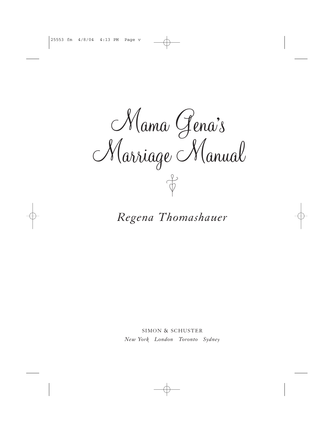*Mama Gena' s Marriage Manual*  $\bigoplus$ 

*Regena Thomashauer*

SIMON & SCHUSTER *New York London Toronto Sydney*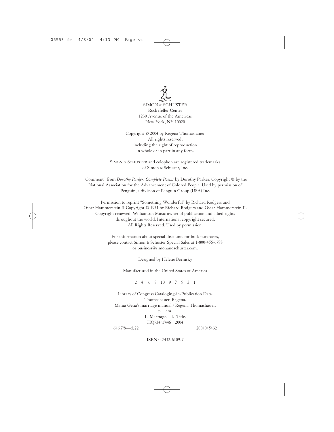SIMON & SCHUSTER Signal Contractor Rockefeller Center 1230 Avenue of the Americas New York, NY 10020

Copyright © 2004 by Regena Thomashauer All rights reserved, including the right of reproduction in whole or in part in any form.

SIMON & SCHUSTER and colophon are registered trademarks of Simon & Schuster, Inc.

"Comment" from *Dorothy Parker: Complete Poems* by Dorothy Parker. Copyright © by the National Association for the Advancement of Colored People. Used by permission of Penguin, a division of Penguin Group (USA) Inc.

Permission to reprint "Something Wonderful" by Richard Rodgers and Oscar Hammerstein II Copyright © 1951 by Richard Rodgers and Oscar Hammerstein II. Copyright renewed. Williamson Music owner of publication and allied rights throughout the world. International copyright secured. All Rights Reserved. Used by permission.

> For information about special discounts for bulk purchases, please contact Simon & Schuster Special Sales at 1-800-456-6798 or business@simonandschuster.com.

> > Designed by Helene Berinsky

Manufactured in the United States of America

2 4 6 8 10 9 7 5 3 1

Library of Congress Cataloging-in-Publication Data. Thomashauer, Regena. Mama Gena's marriage manual / Regena Thomashauer.

p. cm.

1. Marriage. I. Title. HQ734.T446 2004

646.7'8—dc22 2004045432

ISBN 0-7432-6109-7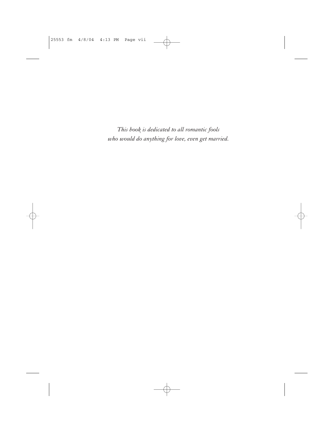*This book is dedicated to all romantic fools who would do anything for love, even get married.*

 $\oplus$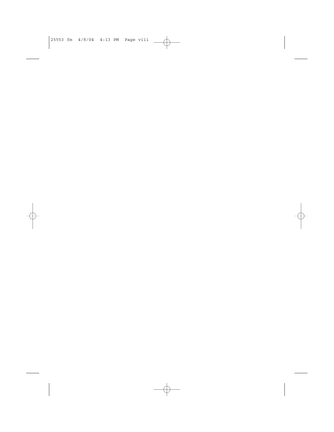$25553 \text{ fm}$  4/8/04 4:13 PM Page viii  $\longrightarrow$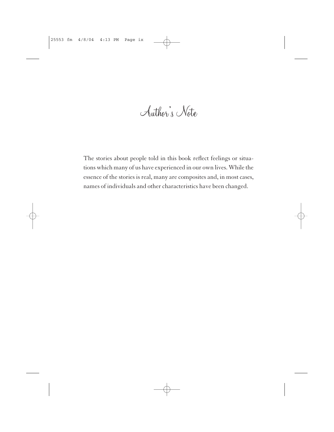*Author's Note*

The stories about people told in this book reflect feelings or situations which many of us have experienced in our own lives. While the essence of the stories is real, many are composites and, in most cases, names of individuals and other characteristics have been changed.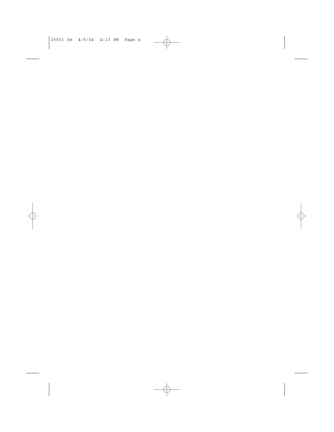25553 fm 4/8/04 4:13 PM Page x

 $\oplus$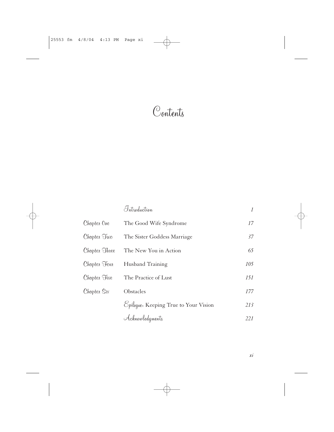## *Contents*

 $\oplus$ 

|               | Introduction                          |     |
|---------------|---------------------------------------|-----|
| Chapter One   | The Good Wife Syndrome                | 17  |
| Chapter Two   | The Sister Goddess Marriage           | 37  |
| Chapter Three | The New You in Action                 | 65  |
| Chapter Four  | Husband Training                      | 105 |
| Chapter Five  | The Practice of Lust                  | 151 |
| Chapter Six   | Obstacles                             | 177 |
|               | Epilogue: Keeping True to Your Vision | 213 |
|               | Acknowledgments                       | 221 |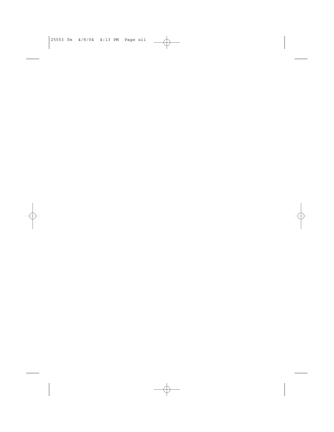$|25553 \text{ fm} \quad 4/8/04 \quad 4:13 \text{ PM} \quad \text{Page xii}$ 

 $\overline{\bigoplus}$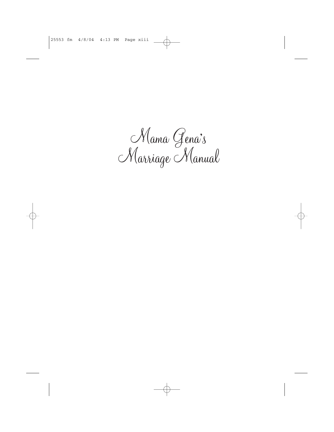25553 fm 4/8/04 4:13 PM Page xiii $\oplus$ 

*Mama Gena' s Marriage Manual*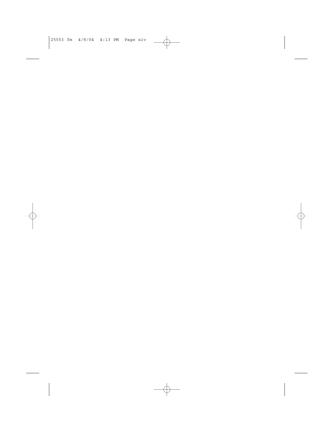$|25553 \text{ fm} \quad 4/8/04 \quad 4:13 \text{ PM} \quad \text{Page } \text{xiv} \quad -$ 

 $\overline{\bigoplus}$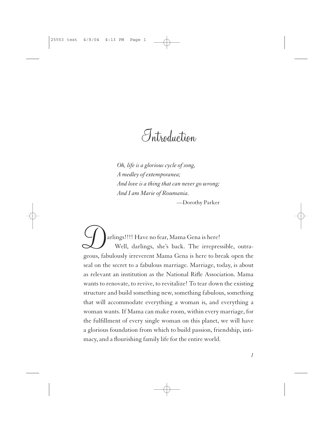*Oh, life is a glorious cycle of song, A medley of extemporanea; And love is a thing that can never go wrong; And I am Marie of Roumania.* —Dorothy Parker

arlings!!!! Have no fear, Mama Gena is here! Well, darlings, she's back. The irrepressible, outra-Goussill!!! Have no fear, Mama Gena is here!<br>Well, darlings, she's back. The irrepressible, outra-<br>geous, fabulously irreverent Mama Gena is here to break open the seal on the secret to a fabulous marriage. Marriage, today, is about as relevant an institution as the National Rifle Association. Mama wants to renovate, to revive, to revitalize! To tear down the existing structure and build something new, something fabulous, something that will accommodate everything a woman is, and everything a woman wants. If Mama can make room, within every marriage, for the fulfillment of every single woman on this planet, we will have a glorious foundation from which to build passion, friendship, intimacy, and a flourishing family life for the entire world.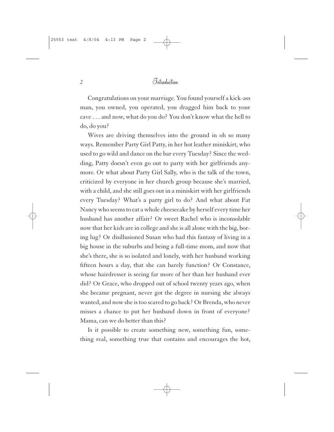Congratulations on your marriage. You found yourself a kick-ass man, you owned, you operated, you dragged him back to your cave . . . and now, what do you do? You don't know what the hell to do, do you?

Wives are driving themselves into the ground in oh so many ways. Remember Party Girl Patty, in her hot leather miniskirt, who used to go wild and dance on the bar every Tuesday? Since the wedding, Patty doesn't even go out to party with her girlfriends anymore. Or what about Party Girl Sally, who is the talk of the town, criticized by everyone in her church group because she's married, with a child, and she still goes out in a miniskirt with her girlfriends every Tuesday? What's a party girl to do? And what about Fat Nancy who seems to eat a whole cheesecake by herself every time her husband has another affair? Or sweet Rachel who is inconsolable now that her kids are in college and she is all alone with the big, boring lug? Or disillusioned Susan who had this fantasy of living in a big house in the suburbs and being a full-time mom, and now that she's there, she is so isolated and lonely, with her husband working fifteen hours a day, that she can barely function? Or Constance, whose hairdresser is seeing far more of her than her husband ever did? Or Grace, who dropped out of school twenty years ago, when she became pregnant, never got the degree in nursing she always wanted, and now she is too scared to go back? Or Brenda, who never misses a chance to put her husband down in front of everyone? Mama, can we do better than this?

Is it possible to create something new, something fun, something real, something true that contains and encourages the hot,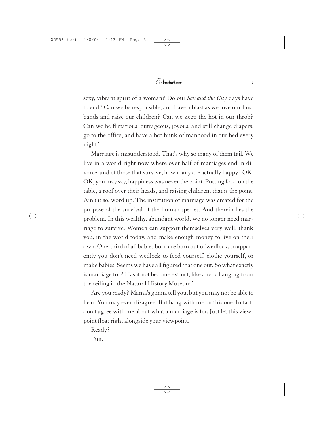sexy, vibrant spirit of a woman? Do our *Sex and the City* days have to end? Can we be responsible, and have a blast as we love our husbands and raise our children? Can we keep the hot in our throb? Can we be flirtatious, outrageous, joyous, and still change diapers, go to the office, and have a hot hunk of manhood in our bed every night?

Marriage is misunderstood. That's why so many of them fail. We live in a world right now where over half of marriages end in divorce, and of those that survive, how many are actually happy? OK, OK, you may say, happiness was never the point. Putting food on the table, a roof over their heads, and raising children, that is the point. Ain't it so, word up. The institution of marriage was created for the purpose of the survival of the human species. And therein lies the problem. In this wealthy, abundant world, we no longer need marriage to survive. Women can support themselves very well, thank you, in the world today, and make enough money to live on their own. One-third of all babies born are born out of wedlock, so apparently you don't need wedlock to feed yourself, clothe yourself, or make babies. Seems we have all figured that one out. So what exactly is marriage for? Has it not become extinct, like a relic hanging from the ceiling in the Natural History Museum?

Are you ready? Mama's gonna tell you, but you may not be able to hear. You may even disagree. But hang with me on this one. In fact, don't agree with me about what a marriage is for. Just let this viewpoint float right alongside your viewpoint.

Ready?

Fun.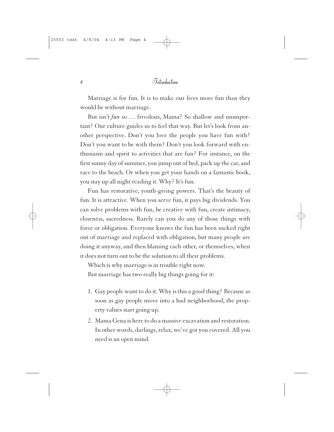Marriage is for fun. It is to make our lives more fun than they would be without marriage.

But isn't *fun* so . . . frivolous, Mama? So shallow and unimportant? Our culture guides us to feel that way. But let's look from another perspective. Don't you love the people you have fun with? Don't you want to be with them? Don't you look forward with enthusiasm and spirit to activities that are fun? For instance, on the first sunny day of summer, you jump out of bed, pack up the car, and race to the beach. Or when you get your hands on a fantastic book, you stay up all night reading it. Why? It's fun.

Fun has restorative, youth-giving powers. That's the beauty of fun. It is attractive. When you serve fun, it pays big dividends. You can solve problems with fun, be creative with fun, create intimacy, closeness, sacredness. Rarely can you do any of those things with force or obligation. Everyone knows the fun has been sucked right out of marriage and replaced with obligation, but many people are doing it anyway, and then blaming each other, or themselves, when it does not turn out to be the solution to all their problems.

Which is why marriage is in trouble right now. But marriage has two really big things going for it:

- 1. Gay people want to do it. Why is this a good thing? Because as soon as gay people move into a bad neighborhood, the property values start going up.
- 2. Mama Gena is here to do a massive excavation and restoration. In other words, darlings, relax, we've got you covered. All you need is an open mind.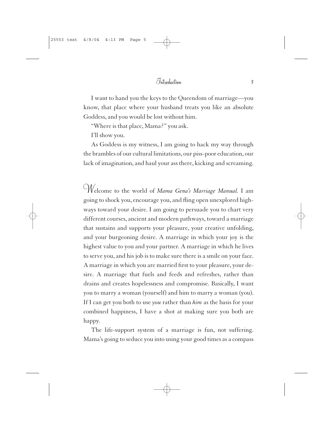I want to hand you the keys to the Queendom of marriage—you know, that place where your husband treats you like an absolute Goddess, and you would be lost without him.

"Where is that place, Mama?" you ask.

I'll show you.

As Goddess is my witness, I am going to hack my way through the brambles of our cultural limitations, our piss-poor education, our lack of imagination, and haul your ass there, kicking and screaming.

*W*elcome to the world of *Mama Gena's Marriage Manual.* I am going to shock you, encourage you, and fling open unexplored highways toward your desire. I am going to persuade you to chart very different courses, ancient and modern pathways, toward a marriage that sustains and supports your pleasure, your creative unfolding, and your burgeoning desire. A marriage in which your joy is the highest value to you and your partner. A marriage in which he lives to serve you, and his job is to make sure there is a smile on your face. A marriage in which you are married first to your pleasure, your desire. A marriage that fuels and feeds and refreshes, rather than drains and creates hopelessness and compromise. Basically, I want you to marry a woman (yourself) and him to marry a woman (you). If I can get you both to use *you* rather than *him* as the basis for your combined happiness, I have a shot at making sure you both are happy.

The life-support system of a marriage is fun, not suffering. Mama's going to seduce you into using your good times as a compass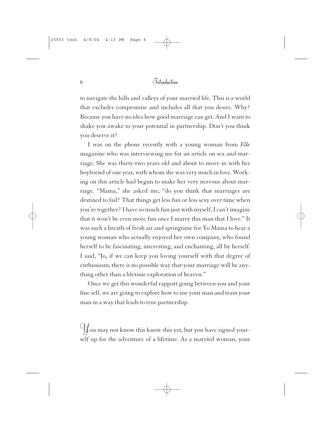to navigate the hills and valleys of your married life. This is a world that excludes compromise and includes all that you desire. Why? Because you have no idea how good marriage can get. And I want to shake you awake to your potential in partnership. Don't you think you deserve it?

I was on the phone recently with a young woman from *Elle* magazine who was interviewing me for an article on sex and marriage. She was thirty-two years old and about to move in with her boyfriend of one year, with whom she was very much in love. Working on this article had begun to make her very nervous about marriage. "Mama," she asked me, "do you think that marriages are destined to fail? That things get less fun or less sexy over time when you're together? I have so much fun just with myself, I can't imagine that it won't be even more fun once I marry this man that I love." It was such a breath of fresh air and springtime for Yo Mama to hear a young woman who actually enjoyed her own company, who found herself to be fascinating, interesting, and enchanting, all by herself. I said, "Jo, if we can keep you loving yourself with that degree of enthusiasm, there is no possible way that your marriage will be anything other than a lifetime exploration of heaven."

Once we get this wonderful rapport going between you and your fine self, we are going to explore how to use your man and train your man in a way that leads to true partnership.

*Y*ou may not know this know this yet, but you have signed yourself up for the adventure of a lifetime. As a married woman, your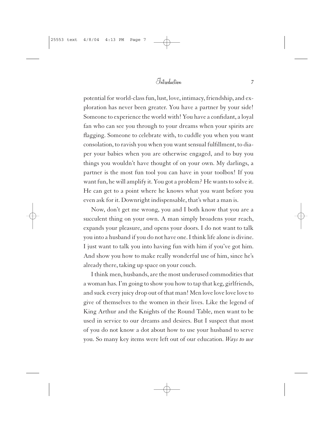potential for world-class fun, lust, love, intimacy, friendship, and exploration has never been greater. You have a partner by your side! Someone to experience the world with! You have a confidant, a loyal fan who can see you through to your dreams when your spirits are flagging. Someone to celebrate with, to cuddle you when you want consolation, to ravish you when you want sensual fulfillment, to diaper your babies when you are otherwise engaged, and to buy you things you wouldn't have thought of on your own. My darlings, a partner is the most fun tool you can have in your toolbox! If you want fun, he will amplify it. You got a problem? He wants to solve it. He can get to a point where he knows what you want before you even ask for it. Downright indispensable, that's what a man is.

Now, don't get me wrong, you and I both know that you are a succulent thing on your own. A man simply broadens your reach, expands your pleasure, and opens your doors. I do not want to talk you into a husband if you do not have one. I think life alone is divine. I just want to talk you into having fun with him if you've got him. And show you how to make really wonderful use of him, since he's already there, taking up space on your couch.

I think men, husbands, are the most underused commodities that a woman has. I'm going to show you how to tap that keg, girlfriends, and suck every juicy drop out of that man! Men love love love love to give of themselves to the women in their lives. Like the legend of King Arthur and the Knights of the Round Table, men want to be used in service to our dreams and desires. But I suspect that most of you do not know a dot about how to use your husband to serve you. So many key items were left out of our education. *Ways to use*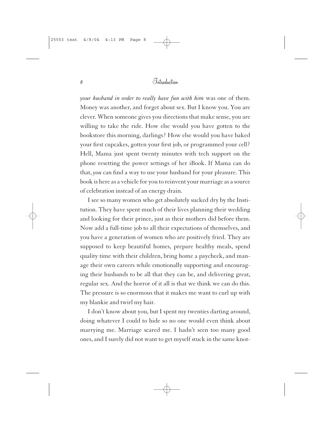*your husband in order to really have fun with him* was one of them. Money was another, and forget about sex. But I know you. You are clever. When someone gives you directions that make sense, you are willing to take the ride. How else would you have gotten to the bookstore this morning, darlings? How else would you have baked your first cupcakes, gotten your first job, or programmed your cell? Hell, Mama just spent twenty minutes with tech support on the phone resetting the power settings of her iBook. If Mama can do that, *you* can find a way to use your husband for your pleasure. This book is here as a vehicle for you to reinvent your marriage as a source of celebration instead of an energy drain.

I see so many women who get absolutely sucked dry by the Institution. They have spent much of their lives planning their wedding and looking for their prince, just as their mothers did before them. Now add a full-time job to all their expectations of themselves, and you have a generation of women who are positively fried. They are supposed to keep beautiful homes, prepare healthy meals, spend quality time with their children, bring home a paycheck, and manage their own careers while emotionally supporting and encouraging their husbands to be all that they can be, and delivering great, regular sex. And the horror of it all is that we think we can do this. The pressure is so enormous that it makes me want to curl up with my blankie and twirl my hair.

I don't know about you, but I spent my twenties darting around, doing whatever I could to hide so no one would even think about marrying me. Marriage scared me. I hadn't seen too many good ones, and I surely did not want to get myself stuck in the same knot-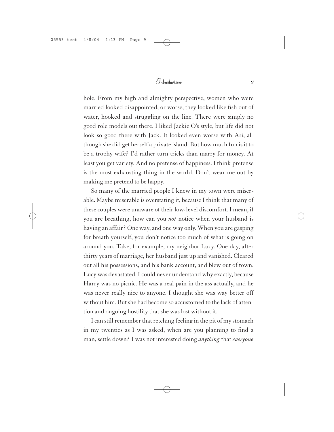hole. From my high and almighty perspective, women who were married looked disappointed, or worse, they looked like fish out of water, hooked and struggling on the line. There were simply no good role models out there. I liked Jackie O's style, but life did not look so good there with Jack. It looked even worse with Ari, although she did get herself a private island. But how much fun is it to be a trophy wife? I'd rather turn tricks than marry for money. At least you get variety. And no pretense of happiness. I think pretense is the most exhausting thing in the world. Don't wear me out by making me pretend to be happy.

So many of the married people I knew in my town were miserable. Maybe miserable is overstating it, because I think that many of these couples were unaware of their low-level discomfort. I mean, if you are breathing, how can you *not* notice when your husband is having an affair? One way, and one way only. When you are gasping for breath yourself, you don't notice too much of what is going on around you. Take, for example, my neighbor Lucy. One day, after thirty years of marriage, her husband just up and vanished. Cleared out all his possessions, and his bank account, and blew out of town. Lucy was devastated. I could never understand why exactly, because Harry was no picnic. He was a real pain in the ass actually, and he was never really nice to anyone. I thought she was way better off without him. But she had become so accustomed to the lack of attention and ongoing hostility that she was lost without it.

I can still remember that retching feeling in the pit of my stomach in my twenties as I was asked, when are you planning to find a man, settle down? I was not interested doing *anything* that *everyone*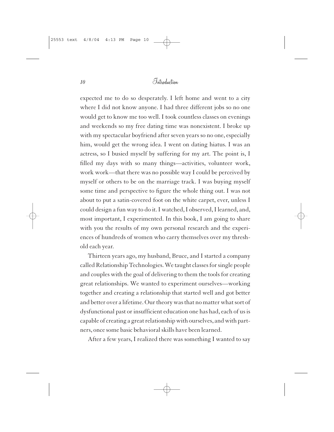expected me to do so desperately. I left home and went to a city where I did not know anyone. I had three different jobs so no one would get to know me too well. I took countless classes on evenings and weekends so my free dating time was nonexistent. I broke up with my spectacular boyfriend after seven years so no one, especially him, would get the wrong idea. I went on dating hiatus. I was an actress, so I busied myself by suffering for my art. The point is, I filled my days with so many things—activities, volunteer work, work work—that there was no possible way I could be perceived by myself or others to be on the marriage track. I was buying myself some time and perspective to figure the whole thing out. I was not about to put a satin-covered foot on the white carpet, ever, unless I could design a fun way to do it. I watched, I observed, I learned, and, most important, I experimented. In this book, I am going to share with you the results of my own personal research and the experiences of hundreds of women who carry themselves over my threshold each year.

Thirteen years ago, my husband, Bruce, and I started a company called Relationship Technologies. We taught classes for single people and couples with the goal of delivering to them the tools for creating great relationships. We wanted to experiment ourselves—working together and creating a relationship that started well and got better and better over a lifetime. Our theory was that no matter what sort of dysfunctional past or insufficient education one has had, each of us is capable of creating a great relationship with ourselves, and with partners, once some basic behavioral skills have been learned.

After a few years, I realized there was something I wanted to say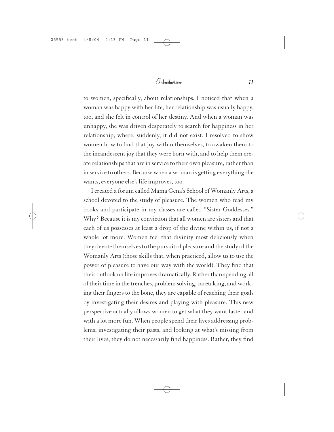to women, specifically, about relationships. I noticed that when a woman was happy with her life, her relationship was usually happy, too, and she felt in control of her destiny. And when a woman was unhappy, she was driven desperately to search for happiness in her relationship, where, suddenly, it did not exist. I resolved to show women how to find that joy within themselves, to awaken them to the incandescent joy that they were born with, and to help them create relationships that are in service to their own pleasure, rather than in service to others. Because when a woman is getting everything she wants, everyone else's life improves, too.

I created a forum called Mama Gena's School of Womanly Arts, a school devoted to the study of pleasure. The women who read my books and participate in my classes are called "Sister Goddesses." Why? Because it is my conviction that all women are sisters and that each of us possesses at least a drop of the divine within us, if not a whole lot more. Women feel that divinity most deliciously when they devote themselves to the pursuit of pleasure and the study of the Womanly Arts (those skills that, when practiced, allow us to use the power of pleasure to have our way with the world). They find that their outlook on life improves dramatically. Rather than spending all of their time in the trenches, problem solving, caretaking, and working their fingers to the bone, they are capable of reaching their goals by investigating their desires and playing with pleasure. This new perspective actually allows women to get what they want faster and with a lot more fun. When people spend their lives addressing problems, investigating their pasts, and looking at what's missing from their lives, they do not necessarily find happiness. Rather, they find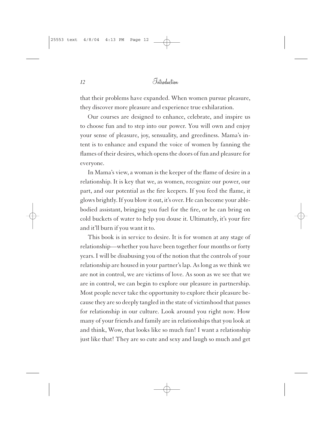that their problems have expanded. When women pursue pleasure, they discover more pleasure and experience true exhilaration.

Our courses are designed to enhance, celebrate, and inspire us to choose fun and to step into our power. You will own and enjoy your sense of pleasure, joy, sensuality, and greediness. Mama's intent is to enhance and expand the voice of women by fanning the flames of their desires, which opens the doors of fun and pleasure for everyone.

In Mama's view, a woman is the keeper of the flame of desire in a relationship. It is key that we, as women, recognize our power, our part, and our potential as the fire keepers. If you feed the flame, it glows brightly. If you blow it out, it's over. He can become your ablebodied assistant, bringing you fuel for the fire, or he can bring on cold buckets of water to help you douse it. Ultimately, it's your fire and it'll burn if you want it to.

This book is in service to desire. It is for women at any stage of relationship—whether you have been together four months or forty years. I will be disabusing you of the notion that the controls of your relationship are housed in your partner's lap. As long as we think we are not in control, we are victims of love. As soon as we see that we are in control, we can begin to explore our pleasure in partnership. Most people never take the opportunity to explore their pleasure because they are so deeply tangled in the state of victimhood that passes for relationship in our culture. Look around you right now. How many of your friends and family are in relationships that you look at and think, Wow, that looks like so much fun! I want a relationship just like that! They are so cute and sexy and laugh so much and get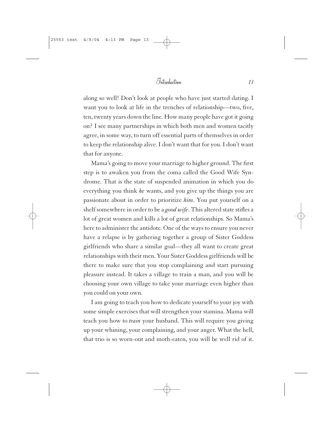along so well! Don't look at people who have just started dating. I want you to look at life in the trenches of relationship—two, five, ten, twenty years down the line. How many people have got it going on? I see many partnerships in which both men and women tacitly agree, in some way, to turn off essential parts of themselves in order to keep the relationship alive. I don't want that for you. I don't want that for anyone.

Mama's going to move your marriage to higher ground. The first step is to awaken you from the coma called the Good Wife Syndrome. That is the state of suspended animation in which you do everything you think *he* wants, and you give up the things you are passionate about in order to prioritize *him*. You put yourself on a shelf somewhere in order to be a *good wife*. This altered state stifles a lot of great women and kills a lot of great relationships. So Mama's here to administer the antidote. One of the ways to ensure you never have a relapse is by gathering together a group of Sister Goddess girlfriends who share a similar goal—they all want to create great relationships with their men. Your Sister Goddess girlfriends will be there to make sure that you stop complaining and start pursuing pleasure instead. It takes a village to train a man, and you will be choosing your own village to take your marriage even higher than you could on your own.

I am going to teach you how to dedicate yourself to your joy with some simple exercises that will strengthen your stamina. Mama will teach you how to *train* your husband. This will require you giving up your whining, your complaining, and your anger. What the hell, that trio is so worn-out and moth-eaten, you will be well rid of it.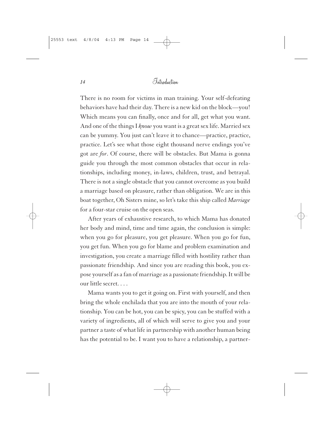There is no room for victims in man training. Your self-defeating behaviors have had their day. There is a new kid on the block—you! Which means you can finally, once and for all, get what you want. And one of the things I *know* you want is a great sex life. Married sex can be yummy. You just can't leave it to chance—practice, practice, practice. Let's see what those eight thousand nerve endings you've got are *for*. Of course, there will be obstacles. But Mama is gonna guide you through the most common obstacles that occur in relationships, including money, in-laws, children, trust, and betrayal. There is not a single obstacle that you cannot overcome as you build a marriage based on pleasure, rather than obligation. We are in this boat together, Oh Sisters mine, so let's take this ship called *Marriage* for a four-star cruise on the open seas.

After years of exhaustive research, to which Mama has donated her body and mind, time and time again, the conclusion is simple: when you go for pleasure, you get pleasure. When you go for fun, you get fun. When you go for blame and problem examination and investigation, you create a marriage filled with hostility rather than passionate friendship. And since you are reading this book, you expose yourself as a fan of marriage as a passionate friendship. It will be our little secret. . . .

Mama wants you to get it going on. First with yourself, and then bring the whole enchilada that you are into the mouth of your relationship. You can be hot, you can be spicy, you can be stuffed with a variety of ingredients, all of which will serve to give you and your partner a taste of what life in partnership with another human being has the potential to be. I want you to have a relationship, a partner-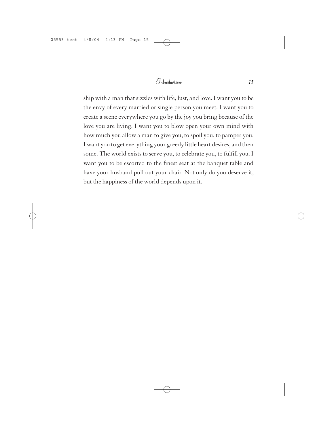ship with a man that sizzles with life, lust, and love. I want you to be the envy of every married or single person you meet. I want you to create a scene everywhere you go by the joy you bring because of the love you are living. I want you to blow open your own mind with how much you allow a man to give you, to spoil you, to pamper you. I want you to get everything your greedy little heart desires, and then some. The world exists to serve you, to celebrate you, to fulfill you. I want you to be escorted to the finest seat at the banquet table and have your husband pull out your chair. Not only do you deserve it, but the happiness of the world depends upon it.